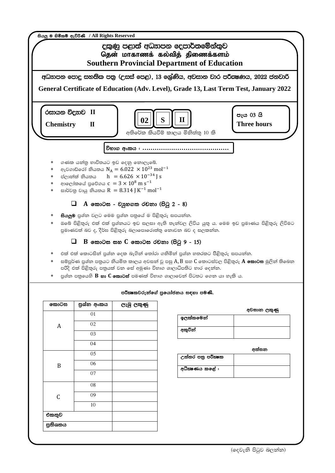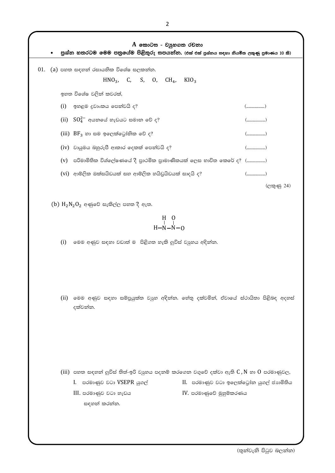A කොටස - වසුහගත රචනා • පුශ්න හතරටම මෙම පතුයේම පිළිතුරු සපයන්න. (එක් එක් පුශ්නය සඳහා නියමිත ලකුණු පුමාණය 10 කි)  $01.$  (a) පහත සඳහන් රසායනික විශේෂ සලකන්න.  $HNO<sub>3</sub>$ , C, S, O, CH<sub>4</sub>, KIO<sub>3</sub> ඉහත විශේෂ වලින් කවරක්,  $(i)$  ඉහළම දුවාංකය පෙන්වයි ද?  $(\ldots \ldots \ldots \ldots \ldots \ldots)$ (ii)  $SO_4^{2-}$  අයනයේ හැඩයට සමාන වේ ද? (iii)  $BF_3$  හා සම ඉලෙක්ටෝනික වේ ද?  $(iv)$  වායුමය බහුරූපී ආකාර දෙකක් පෙන්වයි ද?  $(v)$  පරිමාමිතික විශ්ලේෂණයේ දී පුාථමික පුාමාණිකයක් ලෙස භාවිත කෙරේ ද?  $($ ................)  $(vi)$  ආම්ලික ඔක්සයිඩයක් සහ ආම්ලික හයිඩුයිඩයක් සාදයි ද? (ලකුණු 24)

 $(b)$   $H_2N_2O_2$  අණුවේ සැකිල්ල පහත දී ඇත.

$$
\begin{array}{cc}\n & H & O \\
 & \vert & \vert \\
H-N-N-O & \end{array}
$$

 $(i)$  මෙම අණුව සඳහා වඩාත් ම පිළිගත හැකි ලුවිස් වාූහය අඳින්න.

(ii) මෙම අණුව සඳහා සම්පුයුක්ත වාූහ අඳින්න. හේතු දක්වමින්, ඒවායේ ස්ථායිතා පිළිබඳ අදහස් දක්වන්න.

(iii) පහත සඳහන් ලුවිස් තිත්-ඉරි වාූහය පදනම් කරගෙන වගුවේ දක්වා ඇති  $C, N$  හා  $O$  පරමාණුවල,

- I. පරමාණුව වටා VSEPR යුගල්
- III. පරමාණුව වටා හැඩය සඳහන් කරන්න.
- II. පරමාණුව වටා ඉලෙක්ටෝන යුගල් ජාාමිතිය
- IV. පරමාණුවේ මුහුම්කරණය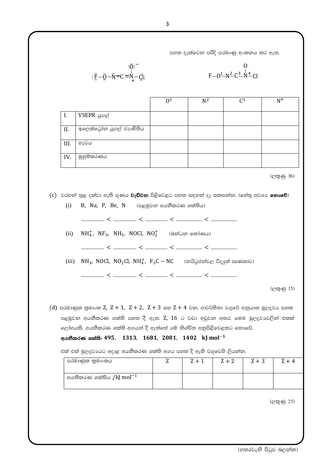පහත දැක්වෙන පරිදි පරමාණු අංකනය කර ඇත.

: 
$$
\ddot{E} - \ddot{Q} - \dot{N} = C = N - \dot{C}i
$$
:  
\n:  $\ddot{E} - \ddot{Q} - \dot{N} = C = N - \dot{C}i$ :  
\n
$$
F - Q^{\frac{1}{2}} - N^{\frac{2}{2}}C^{\frac{3}{2}} - \dot{N}^{\frac{4}{2}} + Cl
$$

|     |                         | $\Omega$ <sup>1</sup> | $N^2$ | $\mathcal{C}^3$ | N <sup>4</sup> |
|-----|-------------------------|-----------------------|-------|-----------------|----------------|
|     |                         |                       |       |                 |                |
| I.  | VSEPR යුගල්             |                       |       |                 |                |
|     |                         |                       |       |                 |                |
| Π.  | ඉලෙක්ටෝන යුගල් ජාාමිතිය |                       |       |                 |                |
|     |                         |                       |       |                 |                |
| Ш.  | හැඩය                    |                       |       |                 |                |
|     |                         |                       |       |                 |                |
| IV. | මුහුම්කරණය              |                       |       |                 |                |
|     |                         |                       |       |                 |                |

(ලකුණු 36)

(c) වරහත් තුළ දක්වා ඇති ගුණය **වැඩිවන** පිළිවෙළට පහත සඳහත් දෑ සකසත්ත. (හේතු අවශා **නොවේ**)  $(i)$ 

B, Na, P, Be, N (පළමුවන අයනීකරණ ශක්තිය)

 $\label{eq:10} \begin{minipage}{0.9\linewidth} \begin{minipage}{0.9\linewidth} \begin{minipage}{0.9\linewidth} \begin{minipage}{0.9\linewidth} \end{minipage} & \begin{minipage}{0.9\linewidth} \begin{minipage}{0.9\linewidth} \end{minipage} & \begin{minipage}{0.9\linewidth} \begin{minipage}{0.9\linewidth} \end{minipage} & \begin{minipage}{0.9\linewidth} \end{minipage} & \begin{minipage}{0.9\linewidth} \end{minipage} & \begin{minipage}{0.9\linewidth} \end{minipage} & \begin{minipage}{0.9\linewidth} \begin{minipage}{0$ 

(ii)  $NH_4^+$ , NF<sub>3</sub>, NH<sub>3</sub>, NOCl, NO<sup>+</sup> (බන්ධන කෝණය)

(iii) NH<sub>3</sub>, NOCl, NO<sub>2</sub>Cl, NH<sub>4</sub>, F<sub>3</sub>C – NC (නයිටුජන්වල විදසුන් ඍණනාව)

(ලකුණු 15)

 $(d)$  පරමාණුක කුමාංක Z, Z + 1, Z + 2, Z + 3 සහ Z + 4 වන, ආවර්තිතා වගුවේ අනුයාත මූලදුවා පහක පළමුවන අයනීකරණ ශක්ති පහත දී ඇත. Z, 16 ට වඩා අඩුවන අතර, මෙම මුලදුවාවලින් එකක් ලෝහයකි. අයනීකරණ ශක්ති අගයන් දී ඇත්තේ යම් නිශ්චිත අනුපිළිවෙළකට නොවේ.

## අයතීකරණ ශක්ති: 495, 1313, 1681, 2081, 1402 kJ mol<sup>-1</sup>

එක් එක් මුලදුවායට අදාළ අයනීකරණ ශක්ති අගය පහත දී ඇති වගුවෙහි ලියන්න.

| පරමාණුක කුමාංකය                    | $Z + 1$ | $Z + 2$ | $Z + 3$ |  |
|------------------------------------|---------|---------|---------|--|
| අයනීකරණ ශක්තිය /kJ $\rm{mol^{-1}}$ |         |         |         |  |

(ලකුණු 25)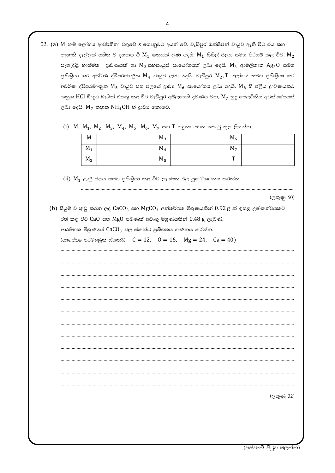- 02. (a) M නම් ලෝහය ආවර්තිතා වගුවේ S ගොනුවට අයත් වේ. වැඩිපුර ඔක්සිජන් වායුව ඇති විට එය කහ පැහැති දැල්ලක් සහිත ව දහනය වී  $M_1$  ඝනයක් ලබා දෙයි.  $M_1$  සිසිල් ජලය සමග පිරියම් කළ විට,  $M_2$ පැහැදිළි භාෂ්මික දුාවණයක් හා  $M_3$  සහසංයුජ සංයෝගයක් ලබා දෙයි.  $M_3$  ආම්ලිකෘත  $Ag_2O$  සමග පුතිකියා කර අවර්ණ ද්විපරමාණුක  $M_4$  වායුව ලබා දෙයි. වැඩිපුර  $M_2$ ,  $T$  ලෝහය සමග පුතිකිුයා කර අවර්ණ ද්විපරමාණුක  $M_5$  වායුව සහ ජලයේ දාවා  $M_6$  සංයෝගය ලබා දෙයි.  $M_6$  හි ජලීය දාවණයකට තනුක HCl බිංදුව බැගින් එකතු කළ විට වැඩිපුර අම්ලයෙහි දුවණය වන,  $M_7$  සුදු ජෙලටිනීය අවක්ෂේපයක් ලබා දෙයි.  $M_7$  තනුක  $NH_4OH$  හි දාවා නොවේ.
	- (i) M, M<sub>1</sub>, M<sub>2</sub>, M<sub>3</sub>, M<sub>4</sub>, M<sub>5</sub>, M<sub>6</sub>, M<sub>7</sub> සහ T හඳුනා ගෙන කොටු තුල ලියන්න.

| M     | $M_3$ | $M_6$          |  |
|-------|-------|----------------|--|
| $M_1$ | $M_4$ | M <sub>7</sub> |  |
| $M_2$ | $M_5$ | $\mathbf{r}$   |  |

(ii)  $M_1$  උණු ජලය සමග පුතිකියා කළ විට ලැබෙන ඵල පුරෝකථනය කරන්න.

(ලකුණු 50)

(b) සියුම් ව කුඩු කරන ලද  $CaCO_3$  සහ  $MgCO_3$  අන්තර්ගත මිශුණයකින්  $0.92$  g ක් ඉහළ උෂ්ණත්වයකට රත් කළ විට CaO සහ MgO පමණක් අඩංගු මිශුණයකින් 0.48 g ලැබුණි. ආරම්භක මිශුණයේ  $CaCO<sub>3</sub>$  වල ස්කන්ධ පුතිශතය ගණනය කරන්න. (සාපේක පරමාණුක ස්කන්ධ:  $C = 12$ ,  $0 = 16$ ,  $Mg = 24$ ,  $Ca = 40$ )

(ලකුණු 32)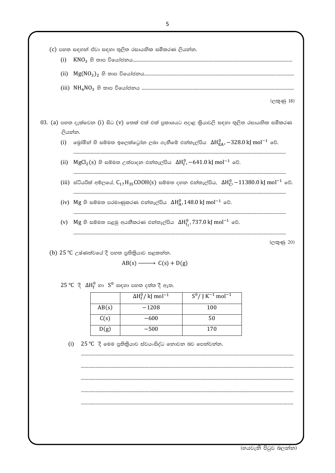| (i)                                                                                                     |                                                                                                             | (c) පහත සඳහන් ඒවා සඳහා තුලිත රසායනික සමීකරණ ලියන්න.            |                                                                                                                                 |            |  |  |  |
|---------------------------------------------------------------------------------------------------------|-------------------------------------------------------------------------------------------------------------|----------------------------------------------------------------|---------------------------------------------------------------------------------------------------------------------------------|------------|--|--|--|
| (ii)                                                                                                    |                                                                                                             |                                                                |                                                                                                                                 |            |  |  |  |
|                                                                                                         |                                                                                                             |                                                                |                                                                                                                                 |            |  |  |  |
|                                                                                                         |                                                                                                             |                                                                |                                                                                                                                 | (ලකුණු 18) |  |  |  |
| 03. (a) පහත දැක්වෙන (i) සිට (v) තෙක් එක් එක් පුකාශයට අදාළ කිුයාවලි සඳහා තුලිත රසායනික සමීකරණ<br>ලියන්න. |                                                                                                             |                                                                |                                                                                                                                 |            |  |  |  |
| (i)                                                                                                     | ලබුා්මීන් හි සම්මත ඉලෙක්ටෝන ලබා ගැනීමේ එන්තැල්පිය $\,\Delta H^{0}_{\rm EA}$ , $-328.0\,$ kJ mol $^{-1}$ වේ. |                                                                |                                                                                                                                 |            |  |  |  |
| (ii)                                                                                                    |                                                                                                             |                                                                | ${\rm MgCl_2}(s)$ හි සම්මත උත්පාදන එන්තැල්පිය $\Delta{\rm H}_{{\rm f}}^0$ , $-641.0\, {\rm kJ}$ mol $^{-1}$ වේ.                 |            |  |  |  |
|                                                                                                         |                                                                                                             |                                                                | (iii) ස්ටියරික් අම්ලයේ, $C_{17}H_{35}COOH(s)$ සම්මත දහන එන්තැල්පිය, $\Delta H_C^0$ , $-11380.0 \text{ kJ} \text{ mol}^{-1}$ වේ. |            |  |  |  |
|                                                                                                         | $(iv)$ Mg හි සම්මත පරමාණුකරණ එන්තැල්පිය $\Delta H_A^0$ , 148.0 kJ mol $^{-1}$ වේ.                           |                                                                |                                                                                                                                 |            |  |  |  |
| (v)                                                                                                     | $\rm Mg$ හි සම්මත පළමු අයනීකරණ එන්තැල්පිය $\rm \Delta H_{I_1}^0$ , 737. $0$ kJ $\rm mol^{-1}$ වේ.           |                                                                |                                                                                                                                 |            |  |  |  |
|                                                                                                         |                                                                                                             |                                                                |                                                                                                                                 | (ලකුණු 20) |  |  |  |
|                                                                                                         | (b) $25 \text{ °C}$ උෂ්ණත්වයේ දී පහත පුතිකියාව සළකන්න.                                                      | $AB(s) \longrightarrow C(s) + D(g)$                            |                                                                                                                                 |            |  |  |  |
|                                                                                                         |                                                                                                             | $25^{\circ}$ C දී $\Delta H_f^0$ හා $S^0$ සඳහා පහත දත්ත දී ඇත. |                                                                                                                                 |            |  |  |  |
|                                                                                                         |                                                                                                             | $\Delta H_f^0/k$ mol <sup>-1</sup>                             | $S^0 / K^{-1}$ mol <sup>-1</sup>                                                                                                |            |  |  |  |
|                                                                                                         | AB(s)                                                                                                       | $-1208$                                                        | 100                                                                                                                             |            |  |  |  |
|                                                                                                         | C(s)                                                                                                        | $-600$                                                         | 50                                                                                                                              |            |  |  |  |
|                                                                                                         | D(g)                                                                                                        | $-500$                                                         | 170                                                                                                                             |            |  |  |  |
| $25$ °C $\,$ දී මෙම පුතිකියාව ස්වයංසිද්ධ නොවන බව පෙන්වන්න.<br>(i)                                       |                                                                                                             |                                                                |                                                                                                                                 |            |  |  |  |
|                                                                                                         |                                                                                                             |                                                                |                                                                                                                                 |            |  |  |  |
|                                                                                                         |                                                                                                             |                                                                |                                                                                                                                 |            |  |  |  |
|                                                                                                         |                                                                                                             |                                                                |                                                                                                                                 |            |  |  |  |

(හයවැනි පිටුව බලන්න)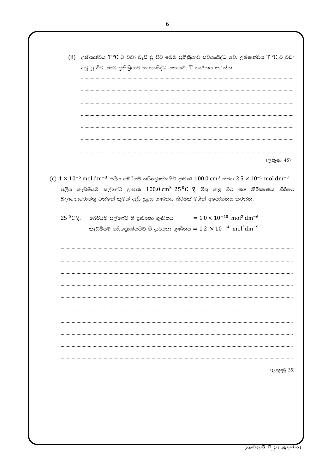(ii) උෂ්ණත්වය  $T C$  ට වඩා වැඩි වූ විට මෙම පුතිකියාව සවයංසිද්ධ වේ. උෂ්ණත්වය  $T C$  ට වඩා අඩු වූ විට මෙම පුතිකිුයාව සවයංසිද්ධ නොවේ. T ගණනය කරන්න.

(ලකුණු 45)

- (c)  $1 \times 10^{-5}$  mol dm<sup>-3</sup> ජලීය බේරියම් හයිඩොක්සයිඩ් දාවණ 100.0 cm<sup>3</sup> සමග 2.5  $\times$  10<sup>-5</sup> mol dm<sup>-3</sup> ජලීය කැඩ්මියම් සල්ෆේට් දාවණ  $100.0 \text{ cm}^3$   $25\,^0$ C දී මිශු කළ විට ඔබ නිරික ණය කිරිමට බලාපොරොත්තු වන්නේ කුමක් දැයි සුදුසු ගණනය කිරිමක් මගින් අපෝහනය කරන්න.
	- $= 1.0 \times 10^{-10}$  mol<sup>2</sup> dm<sup>-6</sup>  $25\,^0$ C දී,  $\bullet$ බ්රියම් සල්ෆේට් හි දුාවාතා ගුණිතය කැඩ්මියම් හයිඩොක්සයිඩ් හි දාවානා ගුණිතය =  $1.2 \times 10^{-14}$  mol $^3 \rm{dm}^{-9}$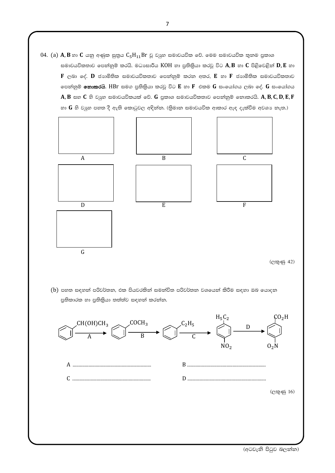$04.$  (a)  $\mathbf{A}, \mathbf{B}$  හා  $\mathbf{C}$  යනු අණුක සුතුය  $\mathsf{C}_5\mathsf{H}_{11}\mathsf{Br}$  වූ වාූහ සමාවයවික වේ. මෙම සමාවයවික තුනම පුකාශ සමාවයවිකතාව පෙන්නුම් කරයි. මධාසාරීය  $KOH$  හා පුතිකිුයා කරවූ විට  $A, B$  හා  $C$  පිළිවෙළින්  $D, E$  හා  $F$  ලබා දේ.  $D$  ජාගමිතික සමාවයවිකතාව පෙන්නුම් කරන අතර,  $E$  හා  $F$  ජාගමිතික සමාවයවිකතාව පෙන්නුම් **නොකරයි**. HBr සමග පුතිකිුයා කරවූ විට E හා F එකම G සංයෝගය ලබා දේ. G සංයෝගය  $A, B$  සහ  $C$  හි වාූහ සමාවයවිකයක් වේ.  $G$  පුකාශ සමාවයවිකතාව පෙන්නුම් නොකරයි.  $A, B, C, D, E, F$ හා  $G$  හි වයුහ පහත දී ඇති කොටුවල අඳින්න. (තිමාන සමාවයවික ආකාර ඇඳ දැක්වීම අවශා නැත.)



 $(b)$  පහත සඳහන් පරිවර්තන, එක පියවරකින් සමන්විත පරිවර්තන වශයෙන් කිරීම සඳහා ඔබ යොදන පුතිකාරක හා පුතිකියා තත්ත්ව සඳහන් කරන්න.



(අටවැනි පිටුව බලන්න)